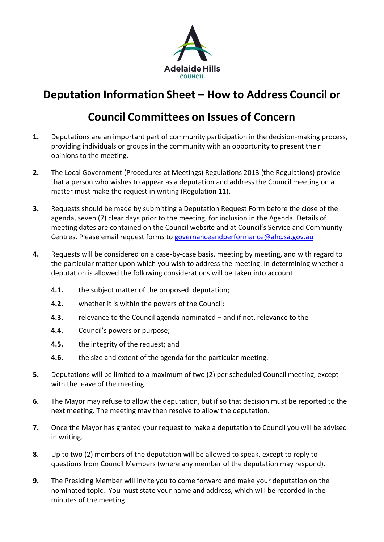

## **Deputation Information Sheet – How to Address Council or**

## **Council Committees on Issues of Concern**

- **1.** Deputations are an important part of community participation in the decision-making process, providing individuals or groups in the community with an opportunity to present their opinions to the meeting.
- **2.** The Local Government (Procedures at Meetings) Regulations 2013 (the Regulations) provide that a person who wishes to appear as a deputation and address the Council meeting on a matter must make the request in writing (Regulation 11).
- **3.** Requests should be made by submitting a Deputation Request Form before the close of the agenda, seven (7) clear days prior to the meeting, for inclusion in the Agenda. Details of meeting dates are contained on the Council website and at Council's Service and Community Centres. Please email request forms t[o governanceandperformance@ahc.sa.gov.au](mailto:governanceandperformance@ahc.sa.gov.au)
- **4.** Requests will be considered on a case-by-case basis, meeting by meeting, and with regard to the particular matter upon which you wish to address the meeting. In determining whether a deputation is allowed the following considerations will be taken into account
	- **4.1.** the subject matter of the proposed deputation;
	- **4.2.** whether it is within the powers of the Council;
	- **4.3.** relevance to the Council agenda nominated and if not, relevance to the
	- **4.4.** Council's powers or purpose;
	- **4.5.** the integrity of the request; and
	- **4.6.** the size and extent of the agenda for the particular meeting.
- **5.** Deputations will be limited to a maximum of two (2) per scheduled Council meeting, except with the leave of the meeting.
- **6.** The Mayor may refuse to allow the deputation, but if so that decision must be reported to the next meeting. The meeting may then resolve to allow the deputation.
- **7.** Once the Mayor has granted your request to make a deputation to Council you will be advised in writing.
- **8.** Up to two (2) members of the deputation will be allowed to speak, except to reply to questions from Council Members (where any member of the deputation may respond).
- **9.** The Presiding Member will invite you to come forward and make your deputation on the nominated topic. You must state your name and address, which will be recorded in the minutes of the meeting.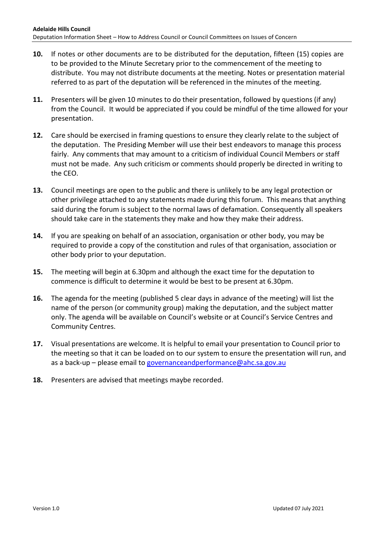- **10.** If notes or other documents are to be distributed for the deputation, fifteen (15) copies are to be provided to the Minute Secretary prior to the commencement of the meeting to distribute. You may not distribute documents at the meeting. Notes or presentation material referred to as part of the deputation will be referenced in the minutes of the meeting.
- **11.** Presenters will be given 10 minutes to do their presentation, followed by questions (if any) from the Council. It would be appreciated if you could be mindful of the time allowed for your presentation.
- **12.** Care should be exercised in framing questions to ensure they clearly relate to the subject of the deputation. The Presiding Member will use their best endeavors to manage this process fairly. Any comments that may amount to a criticism of individual Council Members or staff must not be made. Any such criticism or comments should properly be directed in writing to the CEO.
- **13.** Council meetings are open to the public and there is unlikely to be any legal protection or other privilege attached to any statements made during this forum. This means that anything said during the forum is subject to the normal laws of defamation. Consequently all speakers should take care in the statements they make and how they make their address.
- **14.** If you are speaking on behalf of an association, organisation or other body, you may be required to provide a copy of the constitution and rules of that organisation, association or other body prior to your deputation.
- **15.** The meeting will begin at 6.30pm and although the exact time for the deputation to commence is difficult to determine it would be best to be present at 6.30pm.
- **16.** The agenda for the meeting (published 5 clear days in advance of the meeting) will list the name of the person (or community group) making the deputation, and the subject matter only. The agenda will be available on Council's website or at Council's Service Centres and Community Centres.
- **17.** Visual presentations are welcome. It is helpful to email your presentation to Council prior to the meeting so that it can be loaded on to our system to ensure the presentation will run, and as a back-up – please email to [governanceandperformance@ahc.sa.gov.au](mailto:governanceandperformance@ahc.sa.gov.au)
- **18.** Presenters are advised that meetings maybe recorded.